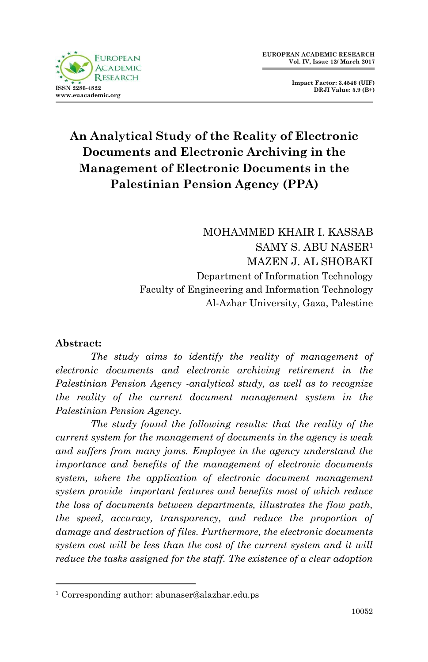

**Impact Factor: 3.4546 (UIF) DRJI Value: 5.9 (B+)**

# **An Analytical Study of the Reality of Electronic Documents and Electronic Archiving in the Management of Electronic Documents in the Palestinian Pension Agency (PPA)**

MOHAMMED KHAIR I. KASSAB SAMY S. ABU NASER<sup>1</sup> MAZEN J. AL SHOBAKI Department of Information Technology Faculty of Engineering and Information Technology Al-Azhar University, Gaza, Palestine

#### **Abstract:**

1

The study aims to identify the reality of management of *electronic documents and electronic archiving retirement in the Palestinian Pension Agency -analytical study, as well as to recognize the reality of the current document management system in the Palestinian Pension Agency.*

*The study found the following results: that the reality of the current system for the management of documents in the agency is weak and suffers from many jams. Employee in the agency understand the importance and benefits of the management of electronic documents system, where the application of electronic document management system provide important features and benefits most of which reduce the loss of documents between departments, illustrates the flow path, the speed, accuracy, transparency, and reduce the proportion of damage and destruction of files. Furthermore, the electronic documents system cost will be less than the cost of the current system and it will reduce the tasks assigned for the staff. The existence of a clear adoption* 

<sup>1</sup> Corresponding author: abunaser@alazhar.edu.ps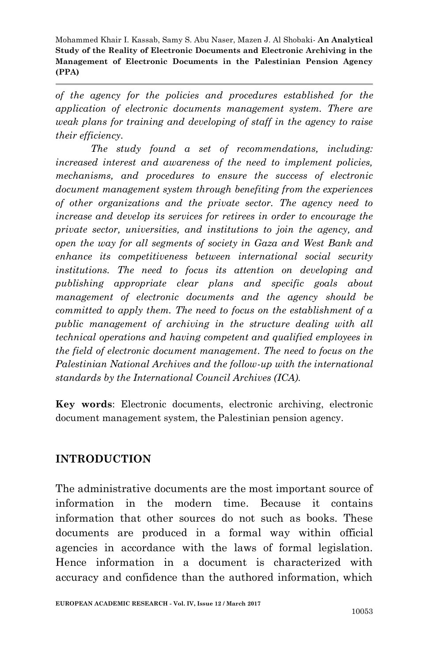*of the agency for the policies and procedures established for the application of electronic documents management system. There are weak plans for training and developing of staff in the agency to raise their efficiency.*

*The study found a set of recommendations, including: increased interest and awareness of the need to implement policies, mechanisms, and procedures to ensure the success of electronic document management system through benefiting from the experiences of other organizations and the private sector. The agency need to increase and develop its services for retirees in order to encourage the private sector, universities, and institutions to join the agency, and open the way for all segments of society in Gaza and West Bank and enhance its competitiveness between international social security institutions. The need to focus its attention on developing and publishing appropriate clear plans and specific goals about management of electronic documents and the agency should be committed to apply them. The need to focus on the establishment of a public management of archiving in the structure dealing with all technical operations and having competent and qualified employees in the field of electronic document management. The need to focus on the Palestinian National Archives and the follow-up with the international standards by the International Council Archives (ICA).*

**Key words**: Electronic documents, electronic archiving, electronic document management system, the Palestinian pension agency.

### **INTRODUCTION**

The administrative documents are the most important source of information in the modern time. Because it contains information that other sources do not such as books. These documents are produced in a formal way within official agencies in accordance with the laws of formal legislation. Hence information in a document is characterized with accuracy and confidence than the authored information, which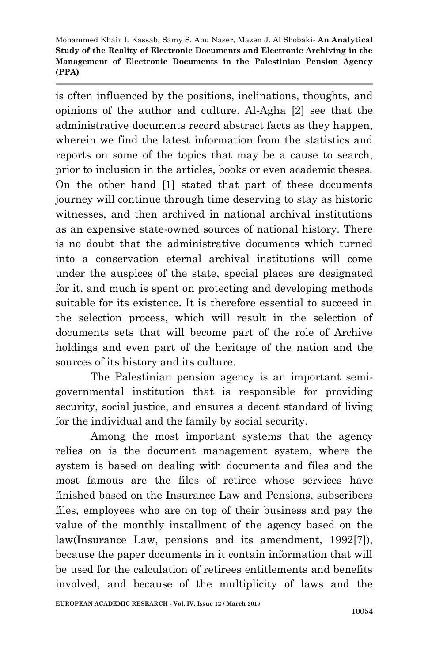is often influenced by the positions, inclinations, thoughts, and opinions of the author and culture. Al-Agha [2] see that the administrative documents record abstract facts as they happen, wherein we find the latest information from the statistics and reports on some of the topics that may be a cause to search, prior to inclusion in the articles, books or even academic theses. On the other hand [1] stated that part of these documents journey will continue through time deserving to stay as historic witnesses, and then archived in national archival institutions as an expensive state-owned sources of national history. There is no doubt that the administrative documents which turned into a conservation eternal archival institutions will come under the auspices of the state, special places are designated for it, and much is spent on protecting and developing methods suitable for its existence. It is therefore essential to succeed in the selection process, which will result in the selection of documents sets that will become part of the role of Archive holdings and even part of the heritage of the nation and the sources of its history and its culture.

The Palestinian pension agency is an important semigovernmental institution that is responsible for providing security, social justice, and ensures a decent standard of living for the individual and the family by social security.

Among the most important systems that the agency relies on is the document management system, where the system is based on dealing with documents and files and the most famous are the files of retiree whose services have finished based on the Insurance Law and Pensions, subscribers files, employees who are on top of their business and pay the value of the monthly installment of the agency based on the law(Insurance Law, pensions and its amendment, 1992[7]), because the paper documents in it contain information that will be used for the calculation of retirees entitlements and benefits involved, and because of the multiplicity of laws and the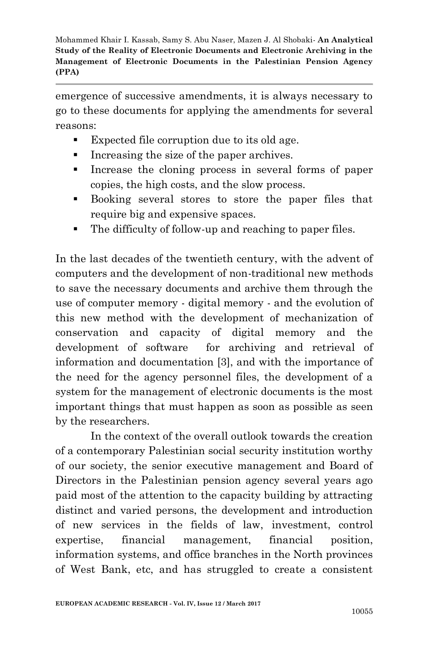emergence of successive amendments, it is always necessary to go to these documents for applying the amendments for several reasons:

- Expected file corruption due to its old age.
- Increasing the size of the paper archives.
- Increase the cloning process in several forms of paper copies, the high costs, and the slow process.
- Booking several stores to store the paper files that require big and expensive spaces.
- The difficulty of follow-up and reaching to paper files.

In the last decades of the twentieth century, with the advent of computers and the development of non-traditional new methods to save the necessary documents and archive them through the use of computer memory - digital memory - and the evolution of this new method with the development of mechanization of conservation and capacity of digital memory and the development of software for archiving and retrieval of information and documentation [3], and with the importance of the need for the agency personnel files, the development of a system for the management of electronic documents is the most important things that must happen as soon as possible as seen by the researchers.

In the context of the overall outlook towards the creation of a contemporary Palestinian social security institution worthy of our society, the senior executive management and Board of Directors in the Palestinian pension agency several years ago paid most of the attention to the capacity building by attracting distinct and varied persons, the development and introduction of new services in the fields of law, investment, control expertise, financial management, financial position, information systems, and office branches in the North provinces of West Bank, etc, and has struggled to create a consistent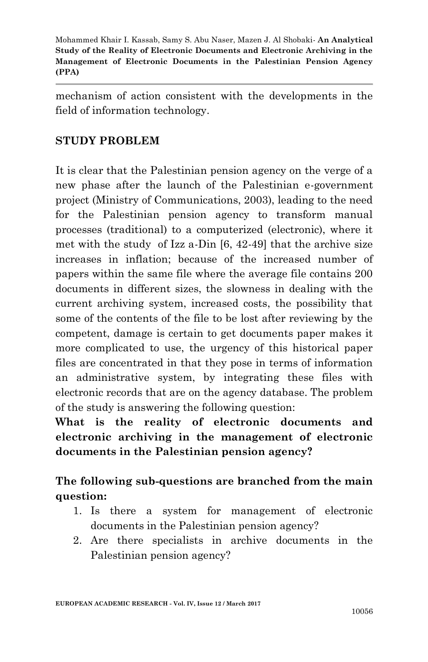mechanism of action consistent with the developments in the field of information technology.

#### **STUDY PROBLEM**

It is clear that the Palestinian pension agency on the verge of a new phase after the launch of the Palestinian e-government project (Ministry of Communications, 2003), leading to the need for the Palestinian pension agency to transform manual processes (traditional) to a computerized (electronic), where it met with the study of Izz a-Din [6, 42-49] that the archive size increases in inflation; because of the increased number of papers within the same file where the average file contains 200 documents in different sizes, the slowness in dealing with the current archiving system, increased costs, the possibility that some of the contents of the file to be lost after reviewing by the competent, damage is certain to get documents paper makes it more complicated to use, the urgency of this historical paper files are concentrated in that they pose in terms of information an administrative system, by integrating these files with electronic records that are on the agency database. The problem of the study is answering the following question:

**What is the reality of electronic documents and electronic archiving in the management of electronic documents in the Palestinian pension agency?**

## **The following sub-questions are branched from the main question:**

- 1. Is there a system for management of electronic documents in the Palestinian pension agency?
- 2. Are there specialists in archive documents in the Palestinian pension agency?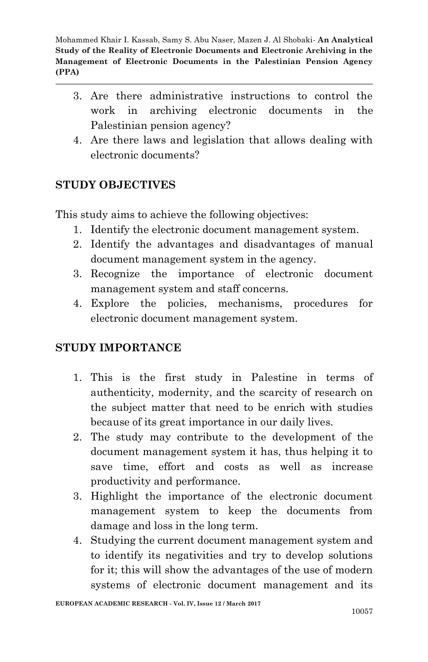- 3. Are there administrative instructions to control the work in archiving electronic documents in the Palestinian pension agency?
- 4. Are there laws and legislation that allows dealing with electronic documents?

### **STUDY OBJECTIVES**

This study aims to achieve the following objectives:

- 1. Identify the electronic document management system.
- 2. Identify the advantages and disadvantages of manual document management system in the agency.
- 3. Recognize the importance of electronic document management system and staff concerns.
- 4. Explore the policies, mechanisms, procedures for electronic document management system.

### **STUDY IMPORTANCE**

- 1. This is the first study in Palestine in terms of authenticity, modernity, and the scarcity of research on the subject matter that need to be enrich with studies because of its great importance in our daily lives.
- 2. The study may contribute to the development of the document management system it has, thus helping it to save time, effort and costs as well as increase productivity and performance.
- 3. Highlight the importance of the electronic document management system to keep the documents from damage and loss in the long term.
- 4. Studying the current document management system and to identify its negativities and try to develop solutions for it; this will show the advantages of the use of modern systems of electronic document management and its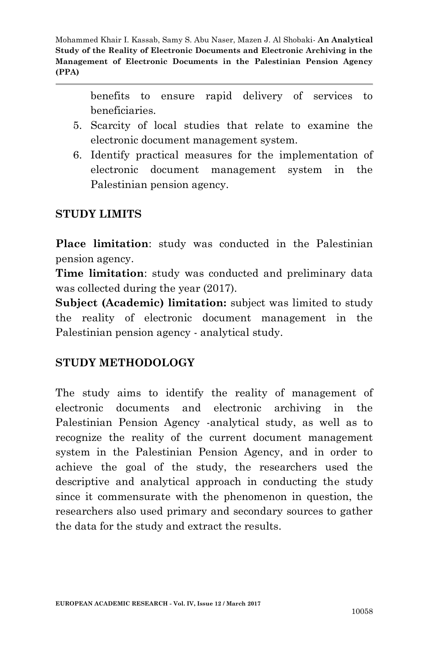> benefits to ensure rapid delivery of services to beneficiaries.

- 5. Scarcity of local studies that relate to examine the electronic document management system.
- 6. Identify practical measures for the implementation of electronic document management system in the Palestinian pension agency.

### **STUDY LIMITS**

**Place limitation**: study was conducted in the Palestinian pension agency.

**Time limitation**: study was conducted and preliminary data was collected during the year (2017).

**Subject (Academic) limitation:** subject was limited to study the reality of electronic document management in the Palestinian pension agency - analytical study.

### **STUDY METHODOLOGY**

The study aims to identify the reality of management of electronic documents and electronic archiving in the Palestinian Pension Agency -analytical study, as well as to recognize the reality of the current document management system in the Palestinian Pension Agency, and in order to achieve the goal of the study, the researchers used the descriptive and analytical approach in conducting the study since it commensurate with the phenomenon in question, the researchers also used primary and secondary sources to gather the data for the study and extract the results.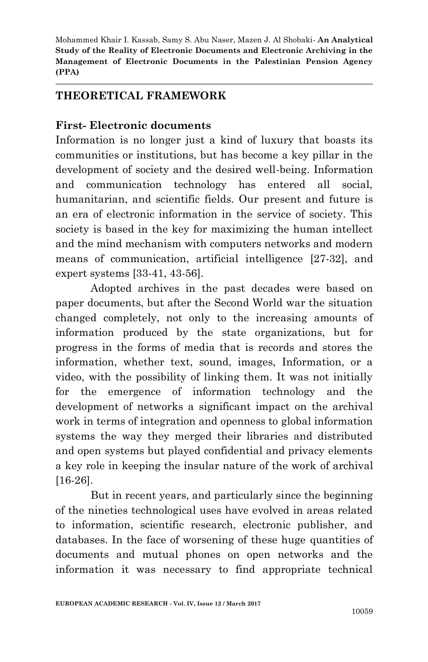#### **THEORETICAL FRAMEWORK**

#### **First- Electronic documents**

Information is no longer just a kind of luxury that boasts its communities or institutions, but has become a key pillar in the development of society and the desired well-being. Information and communication technology has entered all social, humanitarian, and scientific fields. Our present and future is an era of electronic information in the service of society. This society is based in the key for maximizing the human intellect and the mind mechanism with computers networks and modern means of communication, artificial intelligence [27-32], and expert systems [33-41, 43-56].

Adopted archives in the past decades were based on paper documents, but after the Second World war the situation changed completely, not only to the increasing amounts of information produced by the state organizations, but for progress in the forms of media that is records and stores the information, whether text, sound, images, Information, or a video, with the possibility of linking them. It was not initially for the emergence of information technology and the development of networks a significant impact on the archival work in terms of integration and openness to global information systems the way they merged their libraries and distributed and open systems but played confidential and privacy elements a key role in keeping the insular nature of the work of archival [16-26].

But in recent years, and particularly since the beginning of the nineties technological uses have evolved in areas related to information, scientific research, electronic publisher, and databases. In the face of worsening of these huge quantities of documents and mutual phones on open networks and the information it was necessary to find appropriate technical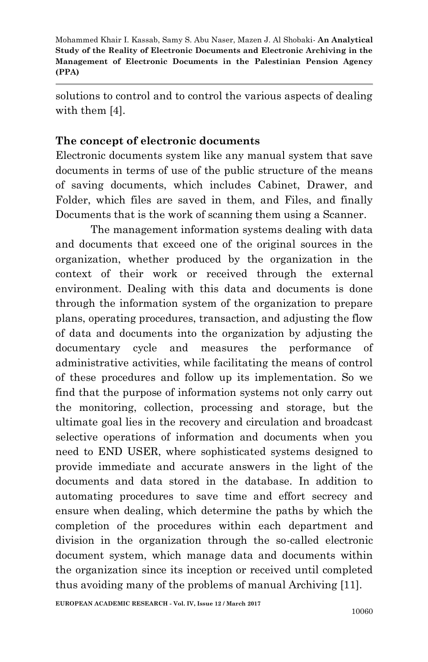solutions to control and to control the various aspects of dealing with them [4].

#### **The concept of electronic documents**

Electronic documents system like any manual system that save documents in terms of use of the public structure of the means of saving documents, which includes Cabinet, Drawer, and Folder, which files are saved in them, and Files, and finally Documents that is the work of scanning them using a Scanner.

The management information systems dealing with data and documents that exceed one of the original sources in the organization, whether produced by the organization in the context of their work or received through the external environment. Dealing with this data and documents is done through the information system of the organization to prepare plans, operating procedures, transaction, and adjusting the flow of data and documents into the organization by adjusting the documentary cycle and measures the performance of administrative activities, while facilitating the means of control of these procedures and follow up its implementation. So we find that the purpose of information systems not only carry out the monitoring, collection, processing and storage, but the ultimate goal lies in the recovery and circulation and broadcast selective operations of information and documents when you need to END USER, where sophisticated systems designed to provide immediate and accurate answers in the light of the documents and data stored in the database. In addition to automating procedures to save time and effort secrecy and ensure when dealing, which determine the paths by which the completion of the procedures within each department and division in the organization through the so-called electronic document system, which manage data and documents within the organization since its inception or received until completed thus avoiding many of the problems of manual Archiving [11].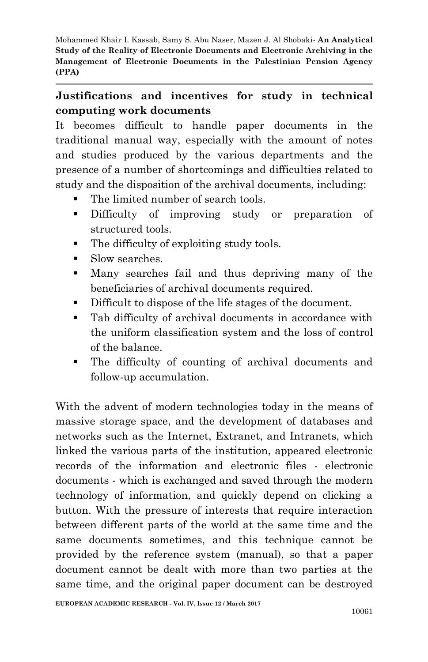## **Justifications and incentives for study in technical computing work documents**

It becomes difficult to handle paper documents in the traditional manual way, especially with the amount of notes and studies produced by the various departments and the presence of a number of shortcomings and difficulties related to study and the disposition of the archival documents, including:

- The limited number of search tools.
- Difficulty of improving study or preparation of structured tools.
- The difficulty of exploiting study tools.
- Slow searches.
- Many searches fail and thus depriving many of the beneficiaries of archival documents required.
- Difficult to dispose of the life stages of the document.
- Tab difficulty of archival documents in accordance with the uniform classification system and the loss of control of the balance.
- The difficulty of counting of archival documents and follow-up accumulation.

With the advent of modern technologies today in the means of massive storage space, and the development of databases and networks such as the Internet, Extranet, and Intranets, which linked the various parts of the institution, appeared electronic records of the information and electronic files - electronic documents - which is exchanged and saved through the modern technology of information, and quickly depend on clicking a button. With the pressure of interests that require interaction between different parts of the world at the same time and the same documents sometimes, and this technique cannot be provided by the reference system (manual), so that a paper document cannot be dealt with more than two parties at the same time, and the original paper document can be destroyed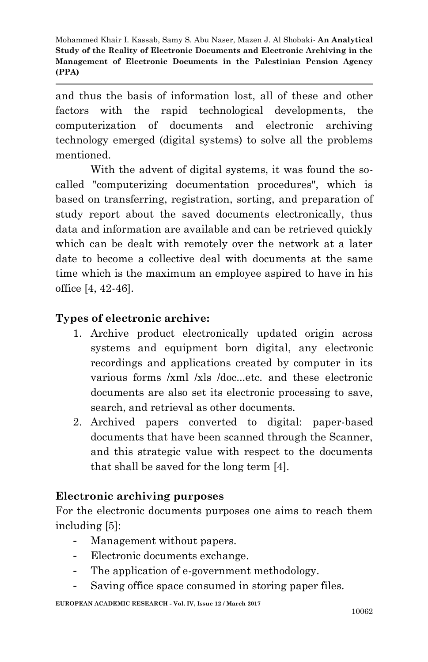and thus the basis of information lost, all of these and other factors with the rapid technological developments, the computerization of documents and electronic archiving technology emerged (digital systems) to solve all the problems mentioned.

With the advent of digital systems, it was found the socalled "computerizing documentation procedures", which is based on transferring, registration, sorting, and preparation of study report about the saved documents electronically, thus data and information are available and can be retrieved quickly which can be dealt with remotely over the network at a later date to become a collective deal with documents at the same time which is the maximum an employee aspired to have in his office [4, 42-46].

### **Types of electronic archive:**

- 1. Archive product electronically updated origin across systems and equipment born digital, any electronic recordings and applications created by computer in its various forms /xml /xls /doc...etc. and these electronic documents are also set its electronic processing to save, search, and retrieval as other documents.
- 2. Archived papers converted to digital: paper-based documents that have been scanned through the Scanner, and this strategic value with respect to the documents that shall be saved for the long term [4].

### **Electronic archiving purposes**

For the electronic documents purposes one aims to reach them including [5]:

- Management without papers.
- Electronic documents exchange.
- The application of e-government methodology.
- Saving office space consumed in storing paper files.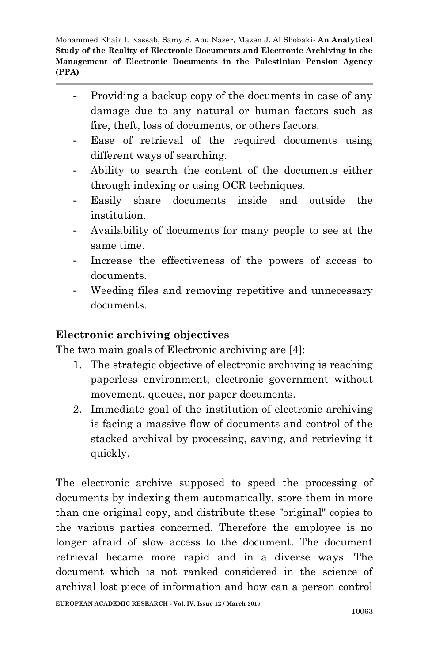- Providing a backup copy of the documents in case of any damage due to any natural or human factors such as fire, theft, loss of documents, or others factors.
- Ease of retrieval of the required documents using different ways of searching.
- Ability to search the content of the documents either through indexing or using OCR techniques.
- Easily share documents inside and outside the institution.
- Availability of documents for many people to see at the same time.
- Increase the effectiveness of the powers of access to documents.
- Weeding files and removing repetitive and unnecessary documents.

### **Electronic archiving objectives**

The two main goals of Electronic archiving are [4]:

- 1. The strategic objective of electronic archiving is reaching paperless environment, electronic government without movement, queues, nor paper documents.
- 2. Immediate goal of the institution of electronic archiving is facing a massive flow of documents and control of the stacked archival by processing, saving, and retrieving it quickly.

The electronic archive supposed to speed the processing of documents by indexing them automatically, store them in more than one original copy, and distribute these "original" copies to the various parties concerned. Therefore the employee is no longer afraid of slow access to the document. The document retrieval became more rapid and in a diverse ways. The document which is not ranked considered in the science of archival lost piece of information and how can a person control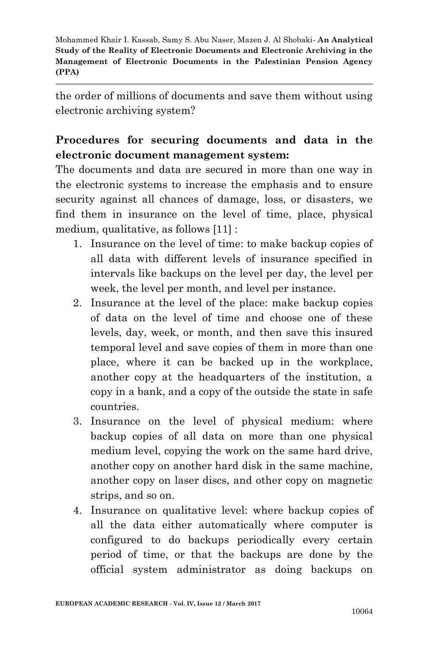the order of millions of documents and save them without using electronic archiving system?

## **Procedures for securing documents and data in the electronic document management system:**

The documents and data are secured in more than one way in the electronic systems to increase the emphasis and to ensure security against all chances of damage, loss, or disasters, we find them in insurance on the level of time, place, physical medium, qualitative, as follows [11] :

- 1. Insurance on the level of time: to make backup copies of all data with different levels of insurance specified in intervals like backups on the level per day, the level per week, the level per month, and level per instance.
- 2. Insurance at the level of the place: make backup copies of data on the level of time and choose one of these levels, day, week, or month, and then save this insured temporal level and save copies of them in more than one place, where it can be backed up in the workplace, another copy at the headquarters of the institution, a copy in a bank, and a copy of the outside the state in safe countries.
- 3. Insurance on the level of physical medium: where backup copies of all data on more than one physical medium level, copying the work on the same hard drive, another copy on another hard disk in the same machine, another copy on laser discs, and other copy on magnetic strips, and so on.
- 4. Insurance on qualitative level: where backup copies of all the data either automatically where computer is configured to do backups periodically every certain period of time, or that the backups are done by the official system administrator as doing backups on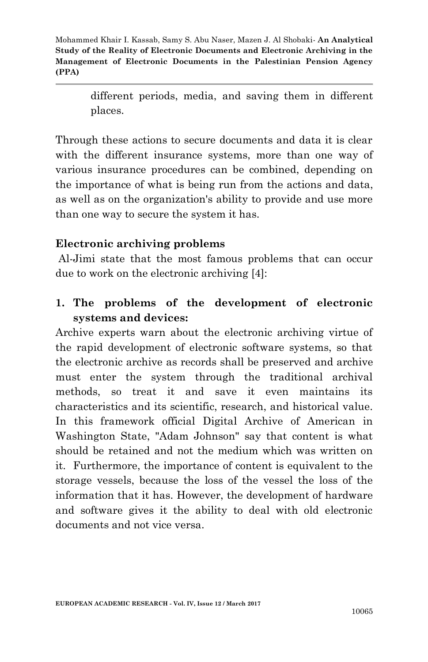> different periods, media, and saving them in different places.

Through these actions to secure documents and data it is clear with the different insurance systems, more than one way of various insurance procedures can be combined, depending on the importance of what is being run from the actions and data, as well as on the organization's ability to provide and use more than one way to secure the system it has.

### **Electronic archiving problems**

Al-Jimi state that the most famous problems that can occur due to work on the electronic archiving [4]:

## **1. The problems of the development of electronic systems and devices:**

Archive experts warn about the electronic archiving virtue of the rapid development of electronic software systems, so that the electronic archive as records shall be preserved and archive must enter the system through the traditional archival methods, so treat it and save it even maintains its characteristics and its scientific, research, and historical value. In this framework official Digital Archive of American in Washington State, "Adam Johnson" say that content is what should be retained and not the medium which was written on it. Furthermore, the importance of content is equivalent to the storage vessels, because the loss of the vessel the loss of the information that it has. However, the development of hardware and software gives it the ability to deal with old electronic documents and not vice versa.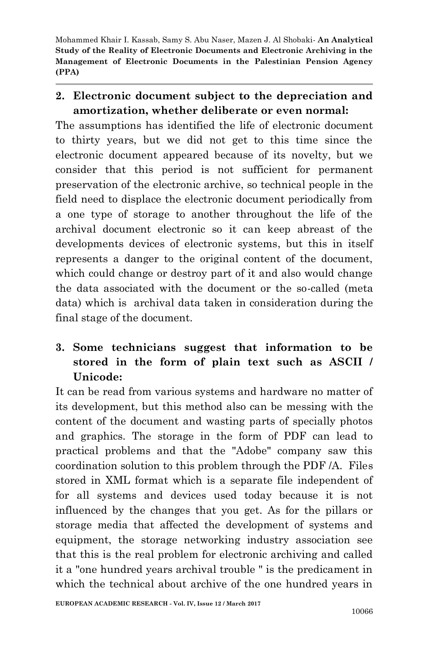## **2. Electronic document subject to the depreciation and amortization, whether deliberate or even normal:**

The assumptions has identified the life of electronic document to thirty years, but we did not get to this time since the electronic document appeared because of its novelty, but we consider that this period is not sufficient for permanent preservation of the electronic archive, so technical people in the field need to displace the electronic document periodically from a one type of storage to another throughout the life of the archival document electronic so it can keep abreast of the developments devices of electronic systems, but this in itself represents a danger to the original content of the document, which could change or destroy part of it and also would change the data associated with the document or the so-called (meta data) which is archival data taken in consideration during the final stage of the document.

# **3. Some technicians suggest that information to be stored in the form of plain text such as ASCII / Unicode:**

It can be read from various systems and hardware no matter of its development, but this method also can be messing with the content of the document and wasting parts of specially photos and graphics. The storage in the form of PDF can lead to practical problems and that the "Adobe" company saw this coordination solution to this problem through the PDF /A. Files stored in XML format which is a separate file independent of for all systems and devices used today because it is not influenced by the changes that you get. As for the pillars or storage media that affected the development of systems and equipment, the storage networking industry association see that this is the real problem for electronic archiving and called it a "one hundred years archival trouble " is the predicament in which the technical about archive of the one hundred years in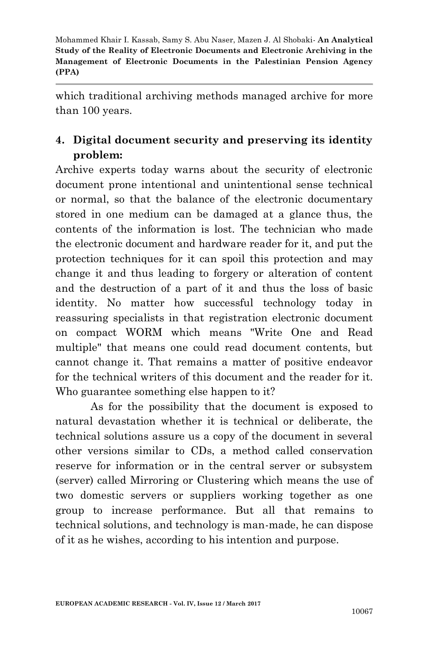which traditional archiving methods managed archive for more than 100 years.

## **4. Digital document security and preserving its identity problem:**

Archive experts today warns about the security of electronic document prone intentional and unintentional sense technical or normal, so that the balance of the electronic documentary stored in one medium can be damaged at a glance thus, the contents of the information is lost. The technician who made the electronic document and hardware reader for it, and put the protection techniques for it can spoil this protection and may change it and thus leading to forgery or alteration of content and the destruction of a part of it and thus the loss of basic identity. No matter how successful technology today in reassuring specialists in that registration electronic document on compact WORM which means "Write One and Read multiple" that means one could read document contents, but cannot change it. That remains a matter of positive endeavor for the technical writers of this document and the reader for it. Who guarantee something else happen to it?

As for the possibility that the document is exposed to natural devastation whether it is technical or deliberate, the technical solutions assure us a copy of the document in several other versions similar to CDs, a method called conservation reserve for information or in the central server or subsystem (server) called Mirroring or Clustering which means the use of two domestic servers or suppliers working together as one group to increase performance. But all that remains to technical solutions, and technology is man-made, he can dispose of it as he wishes, according to his intention and purpose.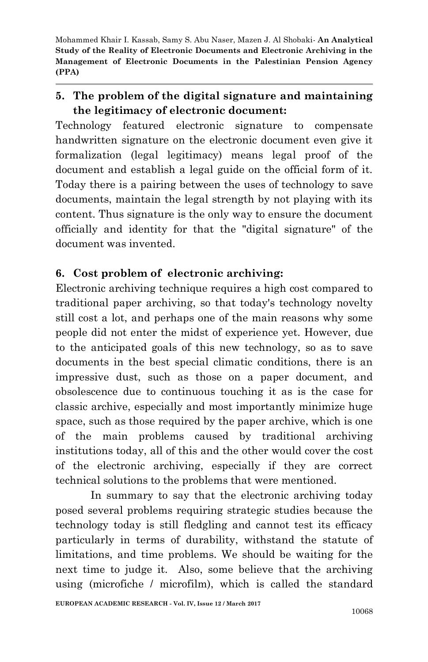## **5. The problem of the digital signature and maintaining the legitimacy of electronic document:**

Technology featured electronic signature to compensate handwritten signature on the electronic document even give it formalization (legal legitimacy) means legal proof of the document and establish a legal guide on the official form of it. Today there is a pairing between the uses of technology to save documents, maintain the legal strength by not playing with its content. Thus signature is the only way to ensure the document officially and identity for that the "digital signature" of the document was invented.

## **6. Cost problem of electronic archiving:**

Electronic archiving technique requires a high cost compared to traditional paper archiving, so that today's technology novelty still cost a lot, and perhaps one of the main reasons why some people did not enter the midst of experience yet. However, due to the anticipated goals of this new technology, so as to save documents in the best special climatic conditions, there is an impressive dust, such as those on a paper document, and obsolescence due to continuous touching it as is the case for classic archive, especially and most importantly minimize huge space, such as those required by the paper archive, which is one of the main problems caused by traditional archiving institutions today, all of this and the other would cover the cost of the electronic archiving, especially if they are correct technical solutions to the problems that were mentioned.

In summary to say that the electronic archiving today posed several problems requiring strategic studies because the technology today is still fledgling and cannot test its efficacy particularly in terms of durability, withstand the statute of limitations, and time problems. We should be waiting for the next time to judge it. Also, some believe that the archiving using (microfiche / microfilm), which is called the standard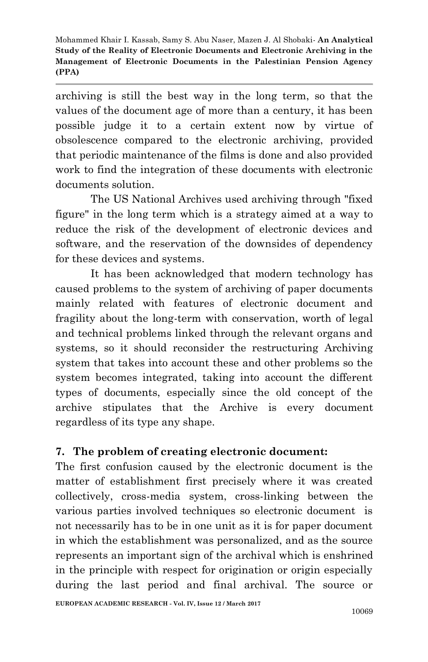archiving is still the best way in the long term, so that the values of the document age of more than a century, it has been possible judge it to a certain extent now by virtue of obsolescence compared to the electronic archiving, provided that periodic maintenance of the films is done and also provided work to find the integration of these documents with electronic documents solution.

The US National Archives used archiving through "fixed figure" in the long term which is a strategy aimed at a way to reduce the risk of the development of electronic devices and software, and the reservation of the downsides of dependency for these devices and systems.

It has been acknowledged that modern technology has caused problems to the system of archiving of paper documents mainly related with features of electronic document and fragility about the long-term with conservation, worth of legal and technical problems linked through the relevant organs and systems, so it should reconsider the restructuring Archiving system that takes into account these and other problems so the system becomes integrated, taking into account the different types of documents, especially since the old concept of the archive stipulates that the Archive is every document regardless of its type any shape.

## **7. The problem of creating electronic document:**

The first confusion caused by the electronic document is the matter of establishment first precisely where it was created collectively, cross-media system, cross-linking between the various parties involved techniques so electronic document is not necessarily has to be in one unit as it is for paper document in which the establishment was personalized, and as the source represents an important sign of the archival which is enshrined in the principle with respect for origination or origin especially during the last period and final archival. The source or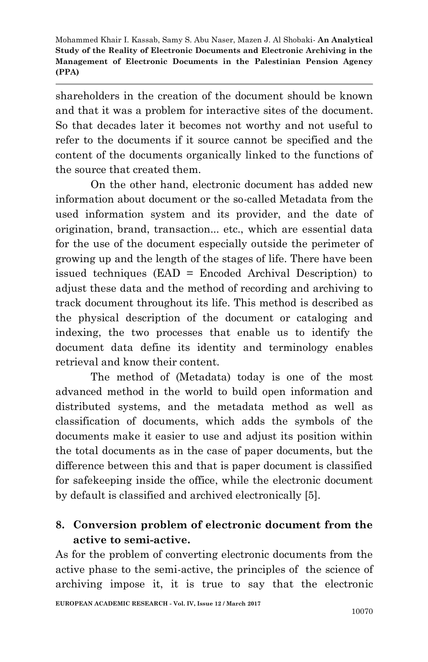shareholders in the creation of the document should be known and that it was a problem for interactive sites of the document. So that decades later it becomes not worthy and not useful to refer to the documents if it source cannot be specified and the content of the documents organically linked to the functions of the source that created them.

On the other hand, electronic document has added new information about document or the so-called Metadata from the used information system and its provider, and the date of origination, brand, transaction... etc., which are essential data for the use of the document especially outside the perimeter of growing up and the length of the stages of life. There have been issued techniques (EAD = Encoded Archival Description) to adjust these data and the method of recording and archiving to track document throughout its life. This method is described as the physical description of the document or cataloging and indexing, the two processes that enable us to identify the document data define its identity and terminology enables retrieval and know their content.

The method of (Metadata) today is one of the most advanced method in the world to build open information and distributed systems, and the metadata method as well as classification of documents, which adds the symbols of the documents make it easier to use and adjust its position within the total documents as in the case of paper documents, but the difference between this and that is paper document is classified for safekeeping inside the office, while the electronic document by default is classified and archived electronically [5].

## **8. Conversion problem of electronic document from the active to semi-active.**

As for the problem of converting electronic documents from the active phase to the semi-active, the principles of the science of archiving impose it, it is true to say that the electronic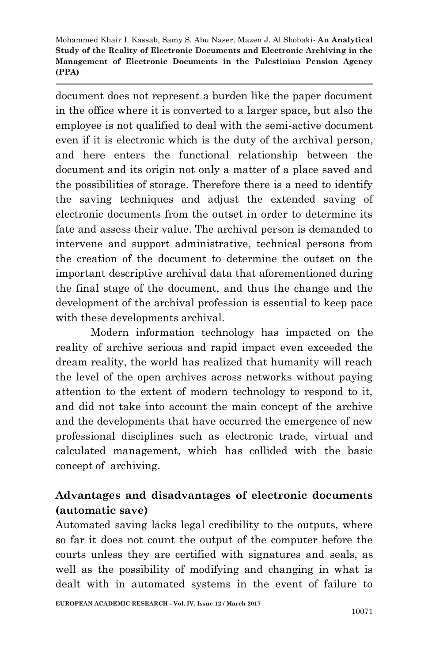document does not represent a burden like the paper document in the office where it is converted to a larger space, but also the employee is not qualified to deal with the semi-active document even if it is electronic which is the duty of the archival person, and here enters the functional relationship between the document and its origin not only a matter of a place saved and the possibilities of storage. Therefore there is a need to identify the saving techniques and adjust the extended saving of electronic documents from the outset in order to determine its fate and assess their value. The archival person is demanded to intervene and support administrative, technical persons from the creation of the document to determine the outset on the important descriptive archival data that aforementioned during the final stage of the document, and thus the change and the development of the archival profession is essential to keep pace with these developments archival.

Modern information technology has impacted on the reality of archive serious and rapid impact even exceeded the dream reality, the world has realized that humanity will reach the level of the open archives across networks without paying attention to the extent of modern technology to respond to it, and did not take into account the main concept of the archive and the developments that have occurred the emergence of new professional disciplines such as electronic trade, virtual and calculated management, which has collided with the basic concept of archiving.

## **Advantages and disadvantages of electronic documents (automatic save)**

Automated saving lacks legal credibility to the outputs, where so far it does not count the output of the computer before the courts unless they are certified with signatures and seals, as well as the possibility of modifying and changing in what is dealt with in automated systems in the event of failure to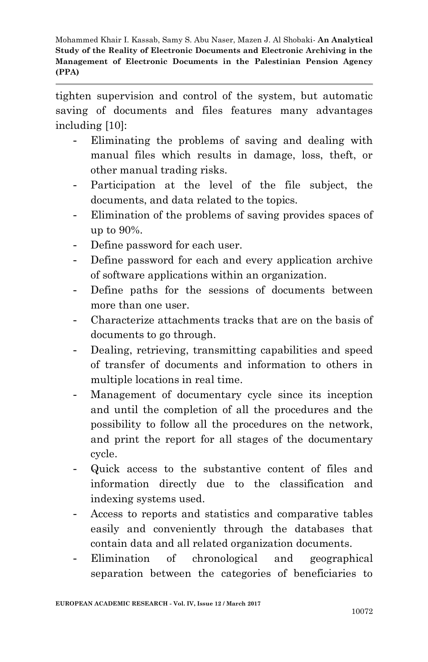tighten supervision and control of the system, but automatic saving of documents and files features many advantages including [10]:

- Eliminating the problems of saving and dealing with manual files which results in damage, loss, theft, or other manual trading risks.
- Participation at the level of the file subject, the documents, and data related to the topics.
- Elimination of the problems of saving provides spaces of up to 90%.
- Define password for each user.
- Define password for each and every application archive of software applications within an organization.
- Define paths for the sessions of documents between more than one user.
- Characterize attachments tracks that are on the basis of documents to go through.
- Dealing, retrieving, transmitting capabilities and speed of transfer of documents and information to others in multiple locations in real time.
- Management of documentary cycle since its inception and until the completion of all the procedures and the possibility to follow all the procedures on the network, and print the report for all stages of the documentary cycle.
- Quick access to the substantive content of files and information directly due to the classification and indexing systems used.
- Access to reports and statistics and comparative tables easily and conveniently through the databases that contain data and all related organization documents.
- Elimination of chronological and geographical separation between the categories of beneficiaries to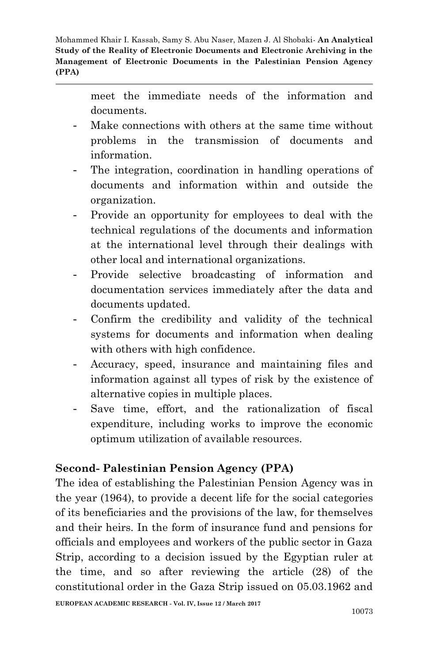> meet the immediate needs of the information and documents.

- Make connections with others at the same time without problems in the transmission of documents and information.
- The integration, coordination in handling operations of documents and information within and outside the organization.
- Provide an opportunity for employees to deal with the technical regulations of the documents and information at the international level through their dealings with other local and international organizations.
- Provide selective broadcasting of information and documentation services immediately after the data and documents updated.
- Confirm the credibility and validity of the technical systems for documents and information when dealing with others with high confidence.
- Accuracy, speed, insurance and maintaining files and information against all types of risk by the existence of alternative copies in multiple places.
- Save time, effort, and the rationalization of fiscal expenditure, including works to improve the economic optimum utilization of available resources.

## **Second- Palestinian Pension Agency (PPA)**

The idea of establishing the Palestinian Pension Agency was in the year (1964), to provide a decent life for the social categories of its beneficiaries and the provisions of the law, for themselves and their heirs. In the form of insurance fund and pensions for officials and employees and workers of the public sector in Gaza Strip, according to a decision issued by the Egyptian ruler at the time, and so after reviewing the article (28) of the constitutional order in the Gaza Strip issued on 05.03.1962 and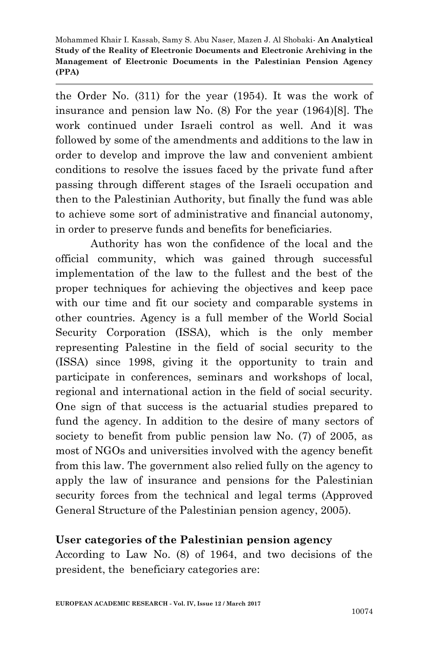the Order No. (311) for the year (1954). It was the work of insurance and pension law No. (8) For the year (1964)[8]. The work continued under Israeli control as well. And it was followed by some of the amendments and additions to the law in order to develop and improve the law and convenient ambient conditions to resolve the issues faced by the private fund after passing through different stages of the Israeli occupation and then to the Palestinian Authority, but finally the fund was able to achieve some sort of administrative and financial autonomy, in order to preserve funds and benefits for beneficiaries.

Authority has won the confidence of the local and the official community, which was gained through successful implementation of the law to the fullest and the best of the proper techniques for achieving the objectives and keep pace with our time and fit our society and comparable systems in other countries. Agency is a full member of the World Social Security Corporation (ISSA), which is the only member representing Palestine in the field of social security to the (ISSA) since 1998, giving it the opportunity to train and participate in conferences, seminars and workshops of local, regional and international action in the field of social security. One sign of that success is the actuarial studies prepared to fund the agency. In addition to the desire of many sectors of society to benefit from public pension law No.  $(7)$  of 2005, as most of NGOs and universities involved with the agency benefit from this law. The government also relied fully on the agency to apply the law of insurance and pensions for the Palestinian security forces from the technical and legal terms (Approved General Structure of the Palestinian pension agency, 2005).

### **User categories of the Palestinian pension agency**

According to Law No. (8) of 1964, and two decisions of the president, the beneficiary categories are: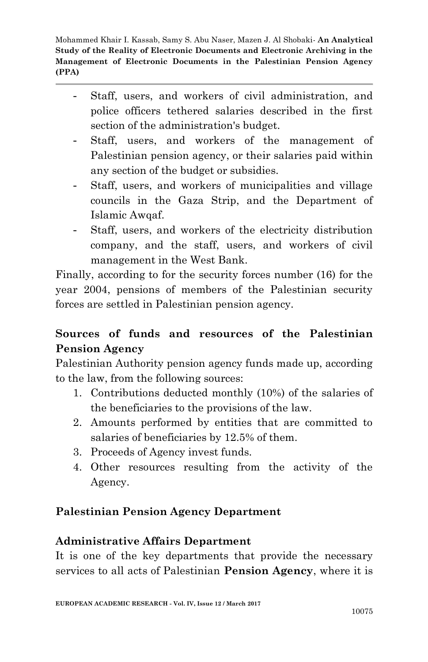- Staff, users, and workers of civil administration, and police officers tethered salaries described in the first section of the administration's budget.
- Staff, users, and workers of the management of Palestinian pension agency, or their salaries paid within any section of the budget or subsidies.
- Staff, users, and workers of municipalities and village councils in the Gaza Strip, and the Department of Islamic Awqaf.
- Staff, users, and workers of the electricity distribution company, and the staff, users, and workers of civil management in the West Bank.

Finally, according to for the security forces number (16) for the year 2004, pensions of members of the Palestinian security forces are settled in Palestinian pension agency.

## **Sources of funds and resources of the Palestinian Pension Agency**

Palestinian Authority pension agency funds made up, according to the law, from the following sources:

- 1. Contributions deducted monthly (10%) of the salaries of the beneficiaries to the provisions of the law.
- 2. Amounts performed by entities that are committed to salaries of beneficiaries by 12.5% of them.
- 3. Proceeds of Agency invest funds.
- 4. Other resources resulting from the activity of the Agency.

## **Palestinian Pension Agency Department**

### **Administrative Affairs Department**

It is one of the key departments that provide the necessary services to all acts of Palestinian **Pension Agency**, where it is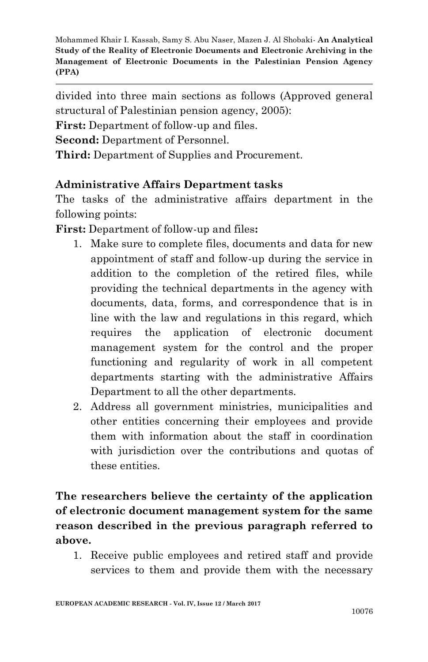divided into three main sections as follows (Approved general structural of Palestinian pension agency, 2005):

**First:** Department of follow-up and files.

**Second:** Department of Personnel.

**Third:** Department of Supplies and Procurement.

### **Administrative Affairs Department tasks**

The tasks of the administrative affairs department in the following points:

**First:** Department of follow-up and files**:**

- 1. Make sure to complete files, documents and data for new appointment of staff and follow-up during the service in addition to the completion of the retired files, while providing the technical departments in the agency with documents, data, forms, and correspondence that is in line with the law and regulations in this regard, which requires the application of electronic document management system for the control and the proper functioning and regularity of work in all competent departments starting with the administrative Affairs Department to all the other departments.
- 2. Address all government ministries, municipalities and other entities concerning their employees and provide them with information about the staff in coordination with jurisdiction over the contributions and quotas of these entities.

# **The researchers believe the certainty of the application of electronic document management system for the same reason described in the previous paragraph referred to above.**

1. Receive public employees and retired staff and provide services to them and provide them with the necessary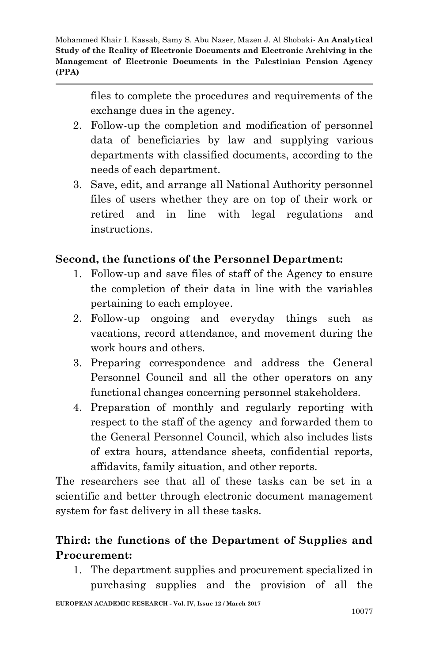> files to complete the procedures and requirements of the exchange dues in the agency.

- 2. Follow-up the completion and modification of personnel data of beneficiaries by law and supplying various departments with classified documents, according to the needs of each department.
- 3. Save, edit, and arrange all National Authority personnel files of users whether they are on top of their work or retired and in line with legal regulations and instructions.

## **Second, the functions of the Personnel Department:**

- 1. Follow-up and save files of staff of the Agency to ensure the completion of their data in line with the variables pertaining to each employee.
- 2. Follow-up ongoing and everyday things such as vacations, record attendance, and movement during the work hours and others.
- 3. Preparing correspondence and address the General Personnel Council and all the other operators on any functional changes concerning personnel stakeholders.
- 4. Preparation of monthly and regularly reporting with respect to the staff of the agency and forwarded them to the General Personnel Council, which also includes lists of extra hours, attendance sheets, confidential reports, affidavits, family situation, and other reports.

The researchers see that all of these tasks can be set in a scientific and better through electronic document management system for fast delivery in all these tasks.

## **Third: the functions of the Department of Supplies and Procurement:**

1. The department supplies and procurement specialized in purchasing supplies and the provision of all the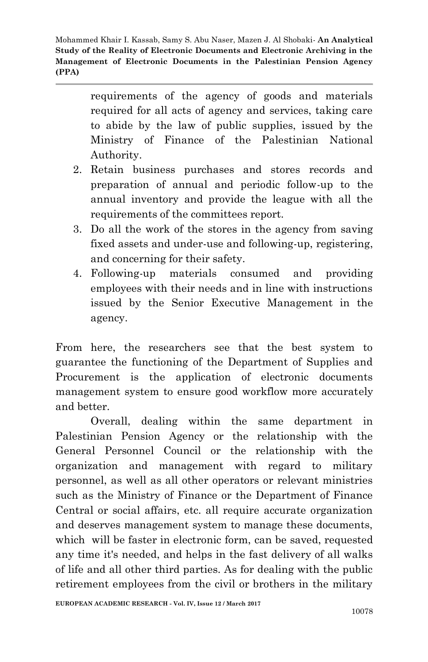> requirements of the agency of goods and materials required for all acts of agency and services, taking care to abide by the law of public supplies, issued by the Ministry of Finance of the Palestinian National Authority.

- 2. Retain business purchases and stores records and preparation of annual and periodic follow-up to the annual inventory and provide the league with all the requirements of the committees report.
- 3. Do all the work of the stores in the agency from saving fixed assets and under-use and following-up, registering, and concerning for their safety.
- 4. Following-up materials consumed and providing employees with their needs and in line with instructions issued by the Senior Executive Management in the agency.

From here, the researchers see that the best system to guarantee the functioning of the Department of Supplies and Procurement is the application of electronic documents management system to ensure good workflow more accurately and better.

Overall, dealing within the same department in Palestinian Pension Agency or the relationship with the General Personnel Council or the relationship with the organization and management with regard to military personnel, as well as all other operators or relevant ministries such as the Ministry of Finance or the Department of Finance Central or social affairs, etc. all require accurate organization and deserves management system to manage these documents, which will be faster in electronic form, can be saved, requested any time it's needed, and helps in the fast delivery of all walks of life and all other third parties. As for dealing with the public retirement employees from the civil or brothers in the military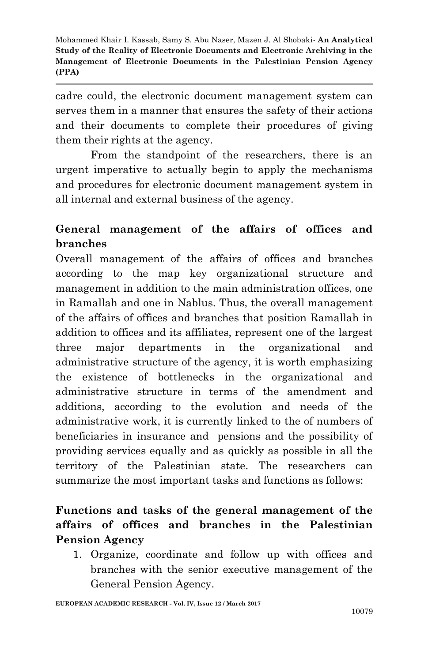cadre could, the electronic document management system can serves them in a manner that ensures the safety of their actions and their documents to complete their procedures of giving them their rights at the agency.

From the standpoint of the researchers, there is an urgent imperative to actually begin to apply the mechanisms and procedures for electronic document management system in all internal and external business of the agency.

## **General management of the affairs of offices and branches**

Overall management of the affairs of offices and branches according to the map key organizational structure and management in addition to the main administration offices, one in Ramallah and one in Nablus. Thus, the overall management of the affairs of offices and branches that position Ramallah in addition to offices and its affiliates, represent one of the largest three major departments in the organizational and administrative structure of the agency, it is worth emphasizing the existence of bottlenecks in the organizational and administrative structure in terms of the amendment and additions, according to the evolution and needs of the administrative work, it is currently linked to the of numbers of beneficiaries in insurance and pensions and the possibility of providing services equally and as quickly as possible in all the territory of the Palestinian state. The researchers can summarize the most important tasks and functions as follows:

## **Functions and tasks of the general management of the affairs of offices and branches in the Palestinian Pension Agency**

1. Organize, coordinate and follow up with offices and branches with the senior executive management of the General Pension Agency.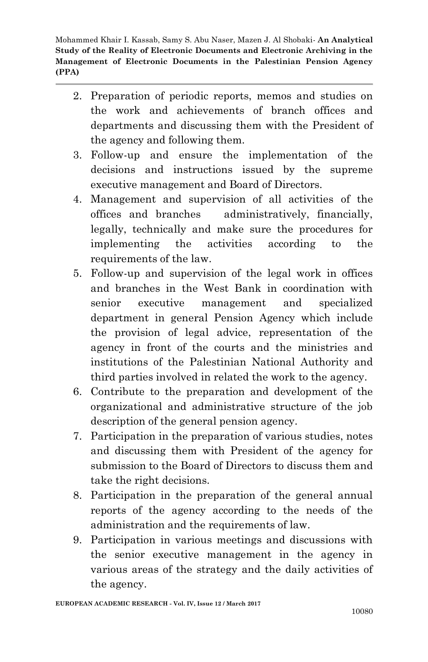- 2. Preparation of periodic reports, memos and studies on the work and achievements of branch offices and departments and discussing them with the President of the agency and following them.
- 3. Follow-up and ensure the implementation of the decisions and instructions issued by the supreme executive management and Board of Directors.
- 4. Management and supervision of all activities of the offices and branches administratively, financially, legally, technically and make sure the procedures for implementing the activities according to the requirements of the law.
- 5. Follow-up and supervision of the legal work in offices and branches in the West Bank in coordination with senior executive management and specialized department in general Pension Agency which include the provision of legal advice, representation of the agency in front of the courts and the ministries and institutions of the Palestinian National Authority and third parties involved in related the work to the agency.
- 6. Contribute to the preparation and development of the organizational and administrative structure of the job description of the general pension agency.
- 7. Participation in the preparation of various studies, notes and discussing them with President of the agency for submission to the Board of Directors to discuss them and take the right decisions.
- 8. Participation in the preparation of the general annual reports of the agency according to the needs of the administration and the requirements of law.
- 9. Participation in various meetings and discussions with the senior executive management in the agency in various areas of the strategy and the daily activities of the agency.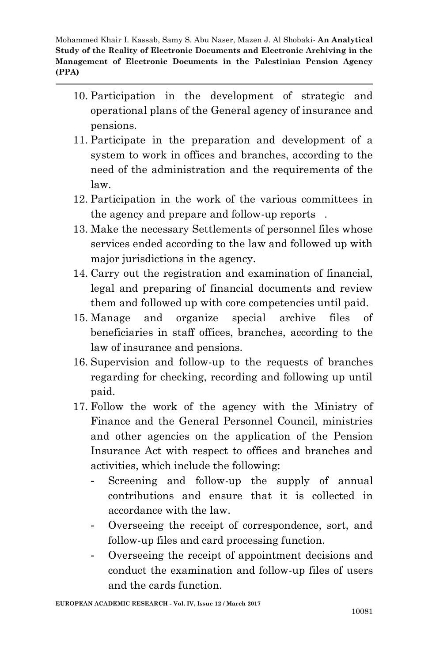- 10. Participation in the development of strategic and operational plans of the General agency of insurance and pensions.
- 11. Participate in the preparation and development of a system to work in offices and branches, according to the need of the administration and the requirements of the law.
- 12. Participation in the work of the various committees in the agency and prepare and follow-up reports .
- 13. Make the necessary Settlements of personnel files whose services ended according to the law and followed up with major jurisdictions in the agency.
- 14. Carry out the registration and examination of financial, legal and preparing of financial documents and review them and followed up with core competencies until paid.
- 15. Manage and organize special archive files of beneficiaries in staff offices, branches, according to the law of insurance and pensions.
- 16. Supervision and follow-up to the requests of branches regarding for checking, recording and following up until paid.
- 17. Follow the work of the agency with the Ministry of Finance and the General Personnel Council, ministries and other agencies on the application of the Pension Insurance Act with respect to offices and branches and activities, which include the following:
	- Screening and follow-up the supply of annual contributions and ensure that it is collected in accordance with the law.
	- Overseeing the receipt of correspondence, sort, and follow-up files and card processing function.
	- Overseeing the receipt of appointment decisions and conduct the examination and follow-up files of users and the cards function.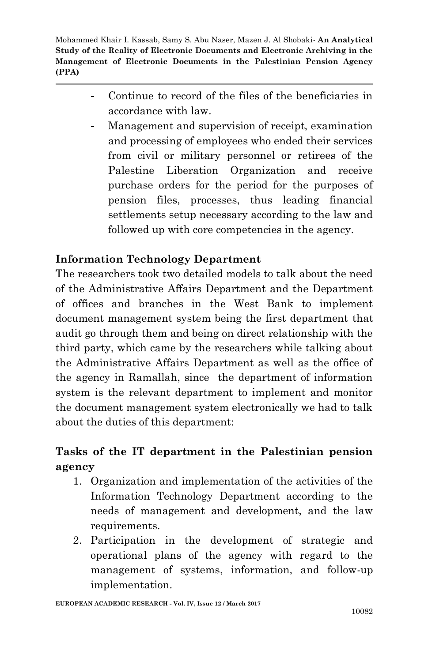- Continue to record of the files of the beneficiaries in accordance with law.
- Management and supervision of receipt, examination and processing of employees who ended their services from civil or military personnel or retirees of the Palestine Liberation Organization and receive purchase orders for the period for the purposes of pension files, processes, thus leading financial settlements setup necessary according to the law and followed up with core competencies in the agency.

### **Information Technology Department**

The researchers took two detailed models to talk about the need of the Administrative Affairs Department and the Department of offices and branches in the West Bank to implement document management system being the first department that audit go through them and being on direct relationship with the third party, which came by the researchers while talking about the Administrative Affairs Department as well as the office of the agency in Ramallah, since the department of information system is the relevant department to implement and monitor the document management system electronically we had to talk about the duties of this department:

## **Tasks of the IT department in the Palestinian pension agency**

- 1. Organization and implementation of the activities of the Information Technology Department according to the needs of management and development, and the law requirements.
- 2. Participation in the development of strategic and operational plans of the agency with regard to the management of systems, information, and follow-up implementation.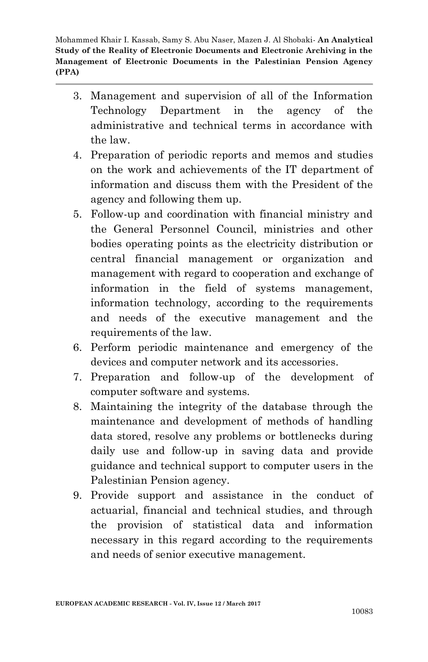- 3. Management and supervision of all of the Information Technology Department in the agency of the administrative and technical terms in accordance with the law.
- 4. Preparation of periodic reports and memos and studies on the work and achievements of the IT department of information and discuss them with the President of the agency and following them up.
- 5. Follow-up and coordination with financial ministry and the General Personnel Council, ministries and other bodies operating points as the electricity distribution or central financial management or organization and management with regard to cooperation and exchange of information in the field of systems management, information technology, according to the requirements and needs of the executive management and the requirements of the law.
- 6. Perform periodic maintenance and emergency of the devices and computer network and its accessories.
- 7. Preparation and follow-up of the development of computer software and systems.
- 8. Maintaining the integrity of the database through the maintenance and development of methods of handling data stored, resolve any problems or bottlenecks during daily use and follow-up in saving data and provide guidance and technical support to computer users in the Palestinian Pension agency.
- 9. Provide support and assistance in the conduct of actuarial, financial and technical studies, and through the provision of statistical data and information necessary in this regard according to the requirements and needs of senior executive management.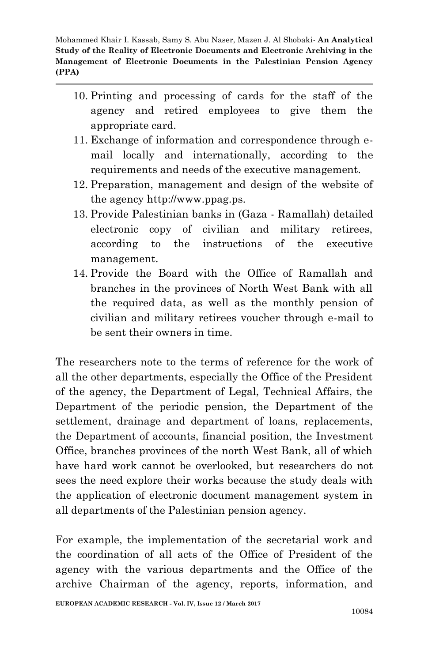- 10. Printing and processing of cards for the staff of the agency and retired employees to give them the appropriate card.
- 11. Exchange of information and correspondence through email locally and internationally, according to the requirements and needs of the executive management.
- 12. Preparation, management and design of the website of the agency http://www.ppag.ps.
- 13. Provide Palestinian banks in (Gaza Ramallah) detailed electronic copy of civilian and military retirees, according to the instructions of the executive management.
- 14. Provide the Board with the Office of Ramallah and branches in the provinces of North West Bank with all the required data, as well as the monthly pension of civilian and military retirees voucher through e-mail to be sent their owners in time.

The researchers note to the terms of reference for the work of all the other departments, especially the Office of the President of the agency, the Department of Legal, Technical Affairs, the Department of the periodic pension, the Department of the settlement, drainage and department of loans, replacements, the Department of accounts, financial position, the Investment Office, branches provinces of the north West Bank, all of which have hard work cannot be overlooked, but researchers do not sees the need explore their works because the study deals with the application of electronic document management system in all departments of the Palestinian pension agency.

For example, the implementation of the secretarial work and the coordination of all acts of the Office of President of the agency with the various departments and the Office of the archive Chairman of the agency, reports, information, and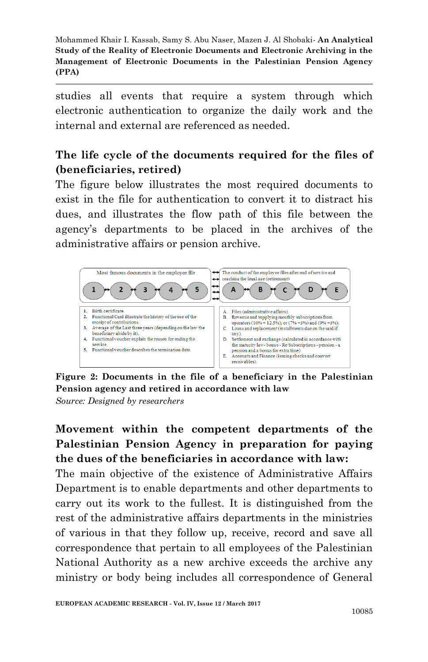studies all events that require a system through which electronic authentication to organize the daily work and the internal and external are referenced as needed.

## **The life cycle of the documents required for the files of (beneficiaries, retired)**

The figure below illustrates the most required documents to exist in the file for authentication to convert it to distract his dues, and illustrates the flow path of this file between the agency's departments to be placed in the archives of the administrative affairs or pension archive.



**Figure 2: Documents in the file of a beneficiary in the Palestinian Pension agency and retired in accordance with law**

*Source: Designed by researchers*

# **Movement within the competent departments of the Palestinian Pension Agency in preparation for paying the dues of the beneficiaries in accordance with law:**

The main objective of the existence of Administrative Affairs Department is to enable departments and other departments to carry out its work to the fullest. It is distinguished from the rest of the administrative affairs departments in the ministries of various in that they follow up, receive, record and save all correspondence that pertain to all employees of the Palestinian National Authority as a new archive exceeds the archive any ministry or body being includes all correspondence of General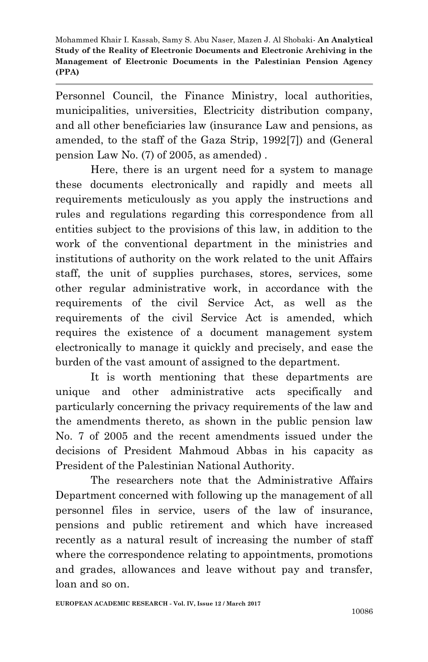Personnel Council, the Finance Ministry, local authorities, municipalities, universities, Electricity distribution company, and all other beneficiaries law (insurance Law and pensions, as amended, to the staff of the Gaza Strip, 1992[7]) and (General pension Law No. (7) of 2005, as amended) .

Here, there is an urgent need for a system to manage these documents electronically and rapidly and meets all requirements meticulously as you apply the instructions and rules and regulations regarding this correspondence from all entities subject to the provisions of this law, in addition to the work of the conventional department in the ministries and institutions of authority on the work related to the unit Affairs staff, the unit of supplies purchases, stores, services, some other regular administrative work, in accordance with the requirements of the civil Service Act, as well as the requirements of the civil Service Act is amended, which requires the existence of a document management system electronically to manage it quickly and precisely, and ease the burden of the vast amount of assigned to the department.

It is worth mentioning that these departments are unique and other administrative acts specifically and particularly concerning the privacy requirements of the law and the amendments thereto, as shown in the public pension law No. 7 of 2005 and the recent amendments issued under the decisions of President Mahmoud Abbas in his capacity as President of the Palestinian National Authority.

The researchers note that the Administrative Affairs Department concerned with following up the management of all personnel files in service, users of the law of insurance, pensions and public retirement and which have increased recently as a natural result of increasing the number of staff where the correspondence relating to appointments, promotions and grades, allowances and leave without pay and transfer, loan and so on.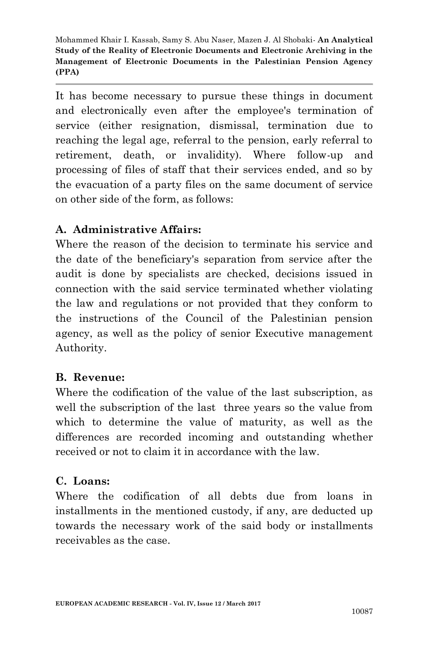It has become necessary to pursue these things in document and electronically even after the employee's termination of service (either resignation, dismissal, termination due to reaching the legal age, referral to the pension, early referral to retirement, death, or invalidity). Where follow-up and processing of files of staff that their services ended, and so by the evacuation of a party files on the same document of service on other side of the form, as follows:

### **A. Administrative Affairs:**

Where the reason of the decision to terminate his service and the date of the beneficiary's separation from service after the audit is done by specialists are checked, decisions issued in connection with the said service terminated whether violating the law and regulations or not provided that they conform to the instructions of the Council of the Palestinian pension agency, as well as the policy of senior Executive management Authority.

#### **B. Revenue:**

Where the codification of the value of the last subscription, as well the subscription of the last three years so the value from which to determine the value of maturity, as well as the differences are recorded incoming and outstanding whether received or not to claim it in accordance with the law.

### **C. Loans:**

Where the codification of all debts due from loans in installments in the mentioned custody, if any, are deducted up towards the necessary work of the said body or installments receivables as the case.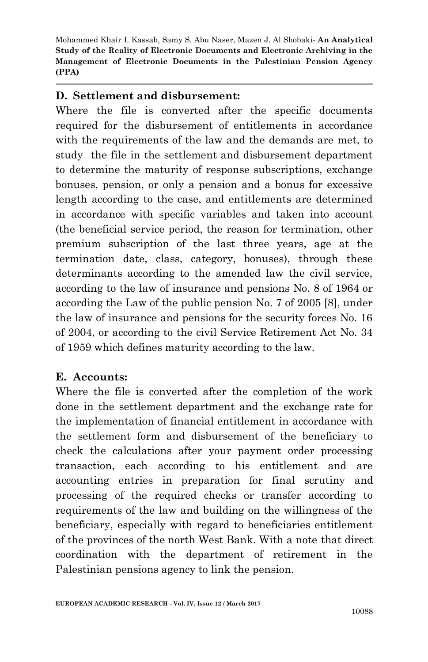#### **D. Settlement and disbursement:**

Where the file is converted after the specific documents required for the disbursement of entitlements in accordance with the requirements of the law and the demands are met, to study the file in the settlement and disbursement department to determine the maturity of response subscriptions, exchange bonuses, pension, or only a pension and a bonus for excessive length according to the case, and entitlements are determined in accordance with specific variables and taken into account (the beneficial service period, the reason for termination, other premium subscription of the last three years, age at the termination date, class, category, bonuses), through these determinants according to the amended law the civil service, according to the law of insurance and pensions No. 8 of 1964 or according the Law of the public pension No. 7 of 2005 [8], under the law of insurance and pensions for the security forces No. 16 of 2004, or according to the civil Service Retirement Act No. 34 of 1959 which defines maturity according to the law.

### **E. Accounts:**

Where the file is converted after the completion of the work done in the settlement department and the exchange rate for the implementation of financial entitlement in accordance with the settlement form and disbursement of the beneficiary to check the calculations after your payment order processing transaction, each according to his entitlement and are accounting entries in preparation for final scrutiny and processing of the required checks or transfer according to requirements of the law and building on the willingness of the beneficiary, especially with regard to beneficiaries entitlement of the provinces of the north West Bank. With a note that direct coordination with the department of retirement in the Palestinian pensions agency to link the pension.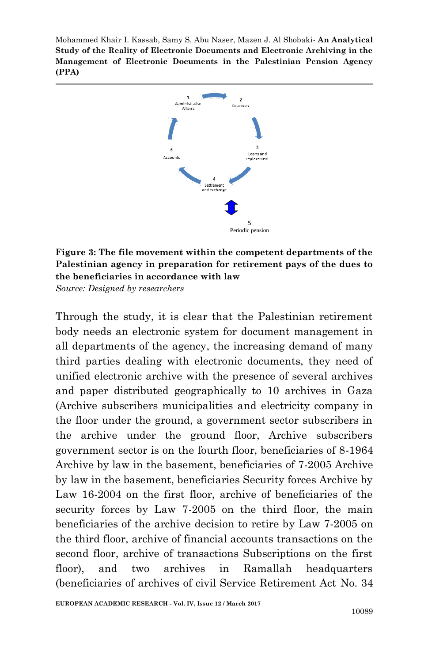

#### **Figure 3: The file movement within the competent departments of the Palestinian agency in preparation for retirement pays of the dues to the beneficiaries in accordance with law**

*Source: Designed by researchers*

Through the study, it is clear that the Palestinian retirement body needs an electronic system for document management in all departments of the agency, the increasing demand of many third parties dealing with electronic documents, they need of unified electronic archive with the presence of several archives and paper distributed geographically to 10 archives in Gaza (Archive subscribers municipalities and electricity company in the floor under the ground, a government sector subscribers in the archive under the ground floor, Archive subscribers government sector is on the fourth floor, beneficiaries of 8-1964 Archive by law in the basement, beneficiaries of 7-2005 Archive by law in the basement, beneficiaries Security forces Archive by Law 16-2004 on the first floor, archive of beneficiaries of the security forces by Law 7-2005 on the third floor, the main beneficiaries of the archive decision to retire by Law 7-2005 on the third floor, archive of financial accounts transactions on the second floor, archive of transactions Subscriptions on the first floor), and two archives in Ramallah headquarters (beneficiaries of archives of civil Service Retirement Act No. 34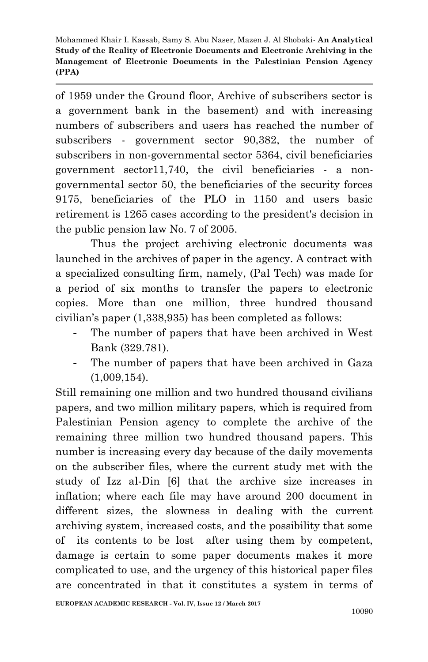of 1959 under the Ground floor, Archive of subscribers sector is a government bank in the basement) and with increasing numbers of subscribers and users has reached the number of subscribers - government sector 90,382, the number of subscribers in non-governmental sector 5364, civil beneficiaries government sector11,740, the civil beneficiaries - a nongovernmental sector 50, the beneficiaries of the security forces 9175, beneficiaries of the PLO in 1150 and users basic retirement is 1265 cases according to the president's decision in the public pension law No. 7 of 2005.

Thus the project archiving electronic documents was launched in the archives of paper in the agency. A contract with a specialized consulting firm, namely, (Pal Tech) was made for a period of six months to transfer the papers to electronic copies. More than one million, three hundred thousand civilian's paper (1,338,935) has been completed as follows:

- The number of papers that have been archived in West Bank (329.781).
- The number of papers that have been archived in Gaza (1,009,154).

Still remaining one million and two hundred thousand civilians papers, and two million military papers, which is required from Palestinian Pension agency to complete the archive of the remaining three million two hundred thousand papers. This number is increasing every day because of the daily movements on the subscriber files, where the current study met with the study of Izz al-Din [6] that the archive size increases in inflation; where each file may have around 200 document in different sizes, the slowness in dealing with the current archiving system, increased costs, and the possibility that some of its contents to be lost after using them by competent, damage is certain to some paper documents makes it more complicated to use, and the urgency of this historical paper files are concentrated in that it constitutes a system in terms of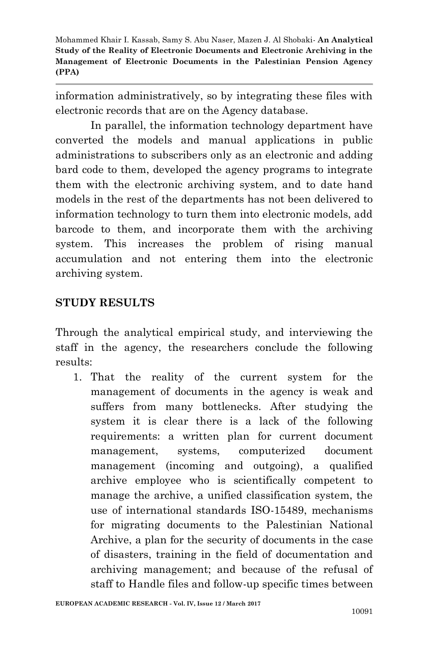information administratively, so by integrating these files with electronic records that are on the Agency database.

In parallel, the information technology department have converted the models and manual applications in public administrations to subscribers only as an electronic and adding bard code to them, developed the agency programs to integrate them with the electronic archiving system, and to date hand models in the rest of the departments has not been delivered to information technology to turn them into electronic models, add barcode to them, and incorporate them with the archiving system. This increases the problem of rising manual accumulation and not entering them into the electronic archiving system.

### **STUDY RESULTS**

Through the analytical empirical study, and interviewing the staff in the agency, the researchers conclude the following results:

1. That the reality of the current system for the management of documents in the agency is weak and suffers from many bottlenecks. After studying the system it is clear there is a lack of the following requirements: a written plan for current document management, systems, computerized document management (incoming and outgoing), a qualified archive employee who is scientifically competent to manage the archive, a unified classification system, the use of international standards ISO-15489, mechanisms for migrating documents to the Palestinian National Archive, a plan for the security of documents in the case of disasters, training in the field of documentation and archiving management; and because of the refusal of staff to Handle files and follow-up specific times between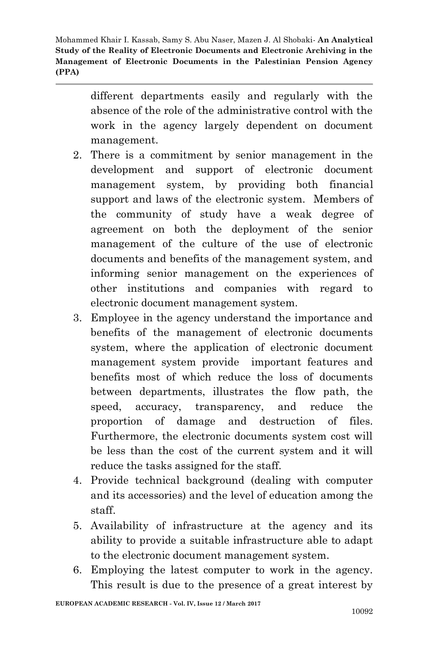> different departments easily and regularly with the absence of the role of the administrative control with the work in the agency largely dependent on document management.

- 2. There is a commitment by senior management in the development and support of electronic document management system, by providing both financial support and laws of the electronic system. Members of the community of study have a weak degree of agreement on both the deployment of the senior management of the culture of the use of electronic documents and benefits of the management system, and informing senior management on the experiences of other institutions and companies with regard to electronic document management system.
- 3. Employee in the agency understand the importance and benefits of the management of electronic documents system, where the application of electronic document management system provide important features and benefits most of which reduce the loss of documents between departments, illustrates the flow path, the speed, accuracy, transparency, and reduce the proportion of damage and destruction of files. Furthermore, the electronic documents system cost will be less than the cost of the current system and it will reduce the tasks assigned for the staff.
- 4. Provide technical background (dealing with computer and its accessories) and the level of education among the staff.
- 5. Availability of infrastructure at the agency and its ability to provide a suitable infrastructure able to adapt to the electronic document management system.
- 6. Employing the latest computer to work in the agency. This result is due to the presence of a great interest by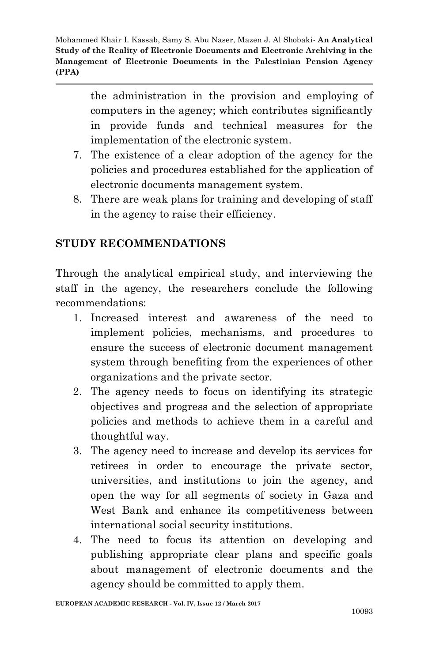> the administration in the provision and employing of computers in the agency; which contributes significantly in provide funds and technical measures for the implementation of the electronic system.

- 7. The existence of a clear adoption of the agency for the policies and procedures established for the application of electronic documents management system.
- 8. There are weak plans for training and developing of staff in the agency to raise their efficiency.

### **STUDY RECOMMENDATIONS**

Through the analytical empirical study, and interviewing the staff in the agency, the researchers conclude the following recommendations:

- 1. Increased interest and awareness of the need to implement policies, mechanisms, and procedures to ensure the success of electronic document management system through benefiting from the experiences of other organizations and the private sector.
- 2. The agency needs to focus on identifying its strategic objectives and progress and the selection of appropriate policies and methods to achieve them in a careful and thoughtful way.
- 3. The agency need to increase and develop its services for retirees in order to encourage the private sector, universities, and institutions to join the agency, and open the way for all segments of society in Gaza and West Bank and enhance its competitiveness between international social security institutions.
- 4. The need to focus its attention on developing and publishing appropriate clear plans and specific goals about management of electronic documents and the agency should be committed to apply them.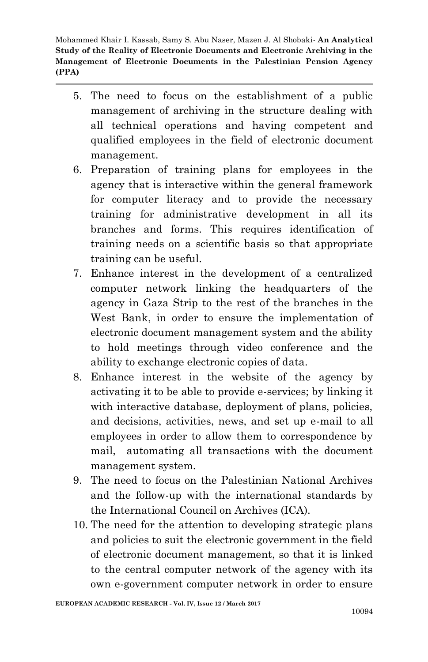- 5. The need to focus on the establishment of a public management of archiving in the structure dealing with all technical operations and having competent and qualified employees in the field of electronic document management.
- 6. Preparation of training plans for employees in the agency that is interactive within the general framework for computer literacy and to provide the necessary training for administrative development in all its branches and forms. This requires identification of training needs on a scientific basis so that appropriate training can be useful.
- 7. Enhance interest in the development of a centralized computer network linking the headquarters of the agency in Gaza Strip to the rest of the branches in the West Bank, in order to ensure the implementation of electronic document management system and the ability to hold meetings through video conference and the ability to exchange electronic copies of data.
- 8. Enhance interest in the website of the agency by activating it to be able to provide e-services; by linking it with interactive database, deployment of plans, policies, and decisions, activities, news, and set up e-mail to all employees in order to allow them to correspondence by mail, automating all transactions with the document management system.
- 9. The need to focus on the Palestinian National Archives and the follow-up with the international standards by the International Council on Archives (ICA).
- 10. The need for the attention to developing strategic plans and policies to suit the electronic government in the field of electronic document management, so that it is linked to the central computer network of the agency with its own e-government computer network in order to ensure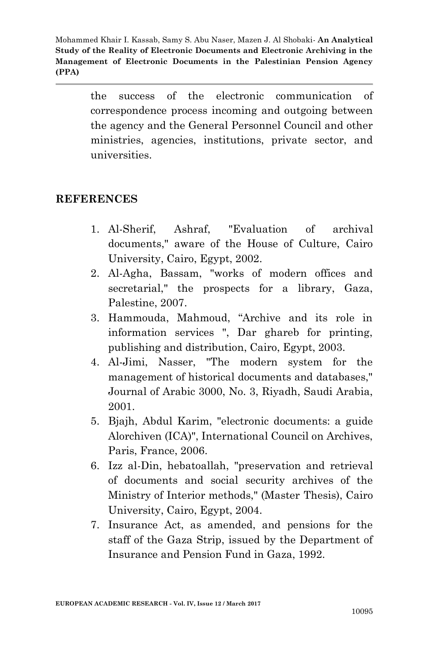> the success of the electronic communication of correspondence process incoming and outgoing between the agency and the General Personnel Council and other ministries, agencies, institutions, private sector, and universities.

#### **REFERENCES**

- 1. Al-Sherif, Ashraf, "Evaluation of archival documents," aware of the House of Culture, Cairo University, Cairo, Egypt, 2002.
- 2. Al-Agha, Bassam, "works of modern offices and secretarial," the prospects for a library, Gaza, Palestine, 2007.
- 3. Hammouda, Mahmoud, "Archive and its role in information services ", Dar ghareb for printing, publishing and distribution, Cairo, Egypt, 2003.
- 4. Al-Jimi, Nasser, "The modern system for the management of historical documents and databases," Journal of Arabic 3000, No. 3, Riyadh, Saudi Arabia, 2001.
- 5. Bjajh, Abdul Karim, "electronic documents: a guide Alorchiven (ICA)", International Council on Archives, Paris, France, 2006.
- 6. Izz al-Din, hebatoallah, "preservation and retrieval of documents and social security archives of the Ministry of Interior methods," (Master Thesis), Cairo University, Cairo, Egypt, 2004.
- 7. Insurance Act, as amended, and pensions for the staff of the Gaza Strip, issued by the Department of Insurance and Pension Fund in Gaza, 1992.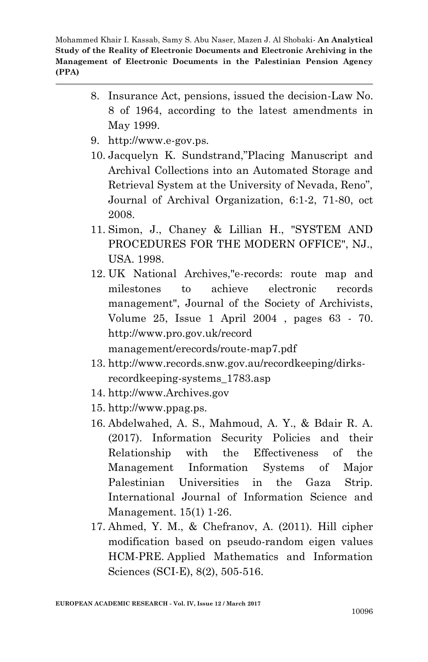- 8. Insurance Act, pensions, issued the decision-Law No. 8 of 1964, according to the latest amendments in May 1999.
- 9. http://www.e-gov.ps.
- 10. Jacquelyn K. Sundstrand,"Placing Manuscript and Archival Collections into an Automated Storage and Retrieval System at the University of Nevada, Reno", Journal of Archival Organization, 6:1-2, 71-80, oct 2008.
- 11. Simon, J., Chaney & Lillian H., "SYSTEM AND PROCEDURES FOR THE MODERN OFFICE", NJ., USA. 1998.
- 12. UK National Archives,"e-records: route map and milestones to achieve electronic records management", [Journal of the Society of Archivists,](http://www.informaworld.com/smpp/title~content=t713435767~db=all) Volume [25,](http://www.informaworld.com/smpp/title~content=t713435767~db=all~tab=issueslist~branches=25#v25) Issue [1 A](http://www.informaworld.com/smpp/title~content=g713625148~db=all)pril 2004 , pages 63 - 70. [http://www.pro.gov](http://www.pro.gov.uk/record%20management/erecords/route-map7.pdf).uk/record [management/erecords/route-map7.pdf](http://www.pro.gov.uk/record%20management/erecords/route-map7.pdf)
- 13. http://www.records.snw.gov.au/recordkeeping/dirksrecordkeeping-systems\_1783.asp
- 14. [http://www.Archives.gov](http://www.archives.gov/)
- 15. [http://www.ppag.ps](http://www.ppag.ps/).
- 16. Abdelwahed, A. S., Mahmoud, A. Y., & Bdair R. A. (2017). Information Security Policies and their Relationship with the Effectiveness of the Management Information Systems of Major Palestinian Universities in the Gaza Strip. International Journal of Information Science and Management. 15(1) 1-26.
- 17. Ahmed, Y. M., & Chefranov, A. (2011). Hill cipher modification based on pseudo-random eigen values HCM-PRE. Applied Mathematics and Information Sciences (SCI-E), 8(2), 505-516.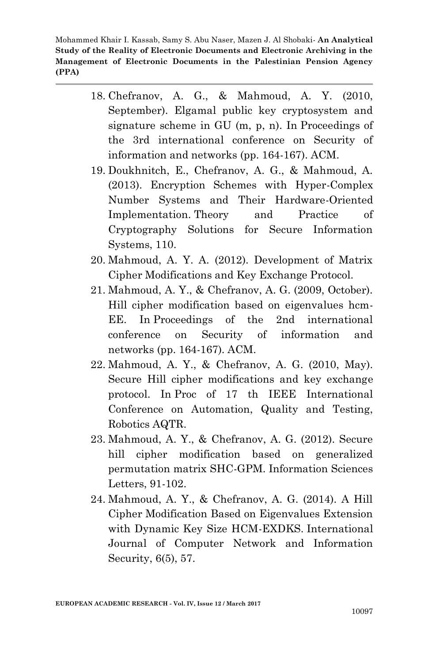- 18. Chefranov, A. G., & Mahmoud, A. Y. (2010, September). Elgamal public key cryptosystem and signature scheme in GU (m, p, n). In Proceedings of the 3rd international conference on Security of information and networks (pp. 164-167). ACM.
- 19. Doukhnitch, E., Chefranov, A. G., & Mahmoud, A. (2013). Encryption Schemes with Hyper-Complex Number Systems and Their Hardware-Oriented Implementation. Theory and Practice of Cryptography Solutions for Secure Information Systems, 110.
- 20. Mahmoud, A. Y. A. (2012). Development of Matrix Cipher Modifications and Key Exchange Protocol.
- 21. Mahmoud, A. Y., & Chefranov, A. G. (2009, October). Hill cipher modification based on eigenvalues hcm-EE. In Proceedings of the 2nd international conference on Security of information and networks (pp. 164-167). ACM.
- 22. Mahmoud, A. Y., & Chefranov, A. G. (2010, May). Secure Hill cipher modifications and key exchange protocol. In Proc of 17 th IEEE International Conference on Automation, Quality and Testing, Robotics AQTR.
- 23. Mahmoud, A. Y., & Chefranov, A. G. (2012). Secure hill cipher modification based on generalized permutation matrix SHC-GPM. Information Sciences Letters, 91-102.
- 24. Mahmoud, A. Y., & Chefranov, A. G. (2014). A Hill Cipher Modification Based on Eigenvalues Extension with Dynamic Key Size HCM-EXDKS. International Journal of Computer Network and Information Security, 6(5), 57.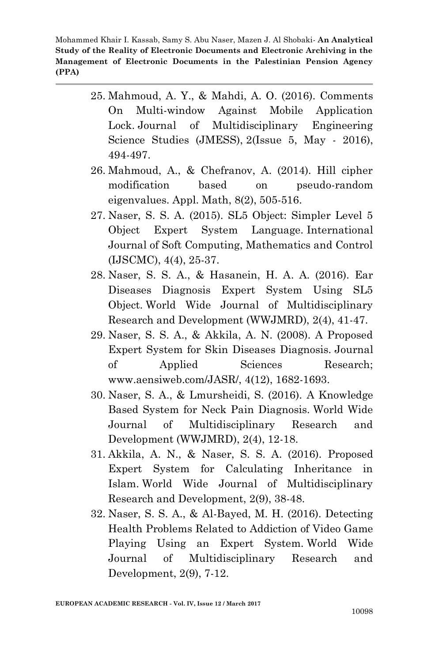- 25. Mahmoud, A. Y., & Mahdi, A. O. (2016). Comments On Multi-window Against Mobile Application Lock. Journal of Multidisciplinary Engineering Science Studies (JMESS), 2(Issue 5, May - 2016), 494-497.
- 26. Mahmoud, A., & Chefranov, A. (2014). Hill cipher modification based on pseudo-random eigenvalues. Appl. Math, 8(2), 505-516.
- 27. Naser, S. S. A. (2015). SL5 Object: Simpler Level 5 Object Expert System Language. International Journal of Soft Computing, Mathematics and Control (IJSCMC), 4(4), 25-37.
- 28. Naser, S. S. A., & Hasanein, H. A. A. (2016). Ear Diseases Diagnosis Expert System Using SL5 Object. World Wide Journal of Multidisciplinary Research and Development (WWJMRD), 2(4), 41-47.
- 29. Naser, S. S. A., & Akkila, A. N. (2008). A Proposed Expert System for Skin Diseases Diagnosis. Journal of Applied Sciences Research; www.aensiweb.com/JASR/, 4(12), 1682-1693.
- 30. Naser, S. A., & Lmursheidi, S. (2016). A Knowledge Based System for Neck Pain Diagnosis. World Wide Journal of Multidisciplinary Research and Development (WWJMRD), 2(4), 12-18.
- 31. Akkila, A. N., & Naser, S. S. A. (2016). Proposed Expert System for Calculating Inheritance in Islam. World Wide Journal of Multidisciplinary Research and Development, 2(9), 38-48.
- 32. Naser, S. S. A., & Al-Bayed, M. H. (2016). Detecting Health Problems Related to Addiction of Video Game Playing Using an Expert System. World Wide Journal of Multidisciplinary Research and Development, 2(9), 7-12.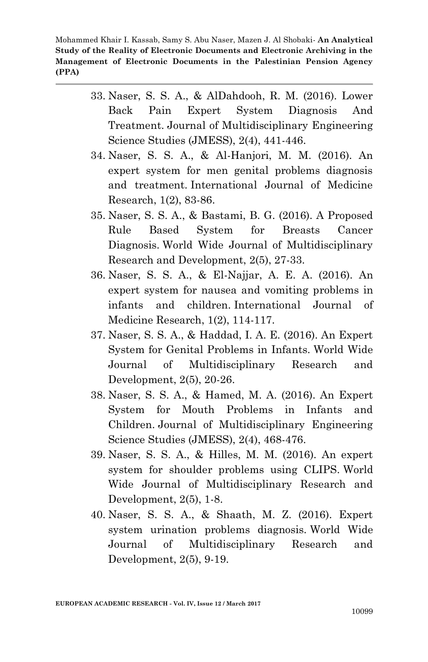- 33. Naser, S. S. A., & AlDahdooh, R. M. (2016). Lower Back Pain Expert System Diagnosis And Treatment. Journal of Multidisciplinary Engineering Science Studies (JMESS), 2(4), 441-446.
- 34. Naser, S. S. A., & Al-Hanjori, M. M. (2016). An expert system for men genital problems diagnosis and treatment. International Journal of Medicine Research, 1(2), 83-86.
- 35. Naser, S. S. A., & Bastami, B. G. (2016). A Proposed Rule Based System for Breasts Cancer Diagnosis. World Wide Journal of Multidisciplinary Research and Development, 2(5), 27-33.
- 36. Naser, S. S. A., & El-Najjar, A. E. A. (2016). An expert system for nausea and vomiting problems in infants and children. International Journal of Medicine Research, 1(2), 114-117.
- 37. Naser, S. S. A., & Haddad, I. A. E. (2016). An Expert System for Genital Problems in Infants. World Wide Journal of Multidisciplinary Research and Development, 2(5), 20-26.
- 38. Naser, S. S. A., & Hamed, M. A. (2016). An Expert System for Mouth Problems in Infants and Children. Journal of Multidisciplinary Engineering Science Studies (JMESS), 2(4), 468-476.
- 39. Naser, S. S. A., & Hilles, M. M. (2016). An expert system for shoulder problems using CLIPS. World Wide Journal of Multidisciplinary Research and Development, 2(5), 1-8.
- 40. Naser, S. S. A., & Shaath, M. Z. (2016). Expert system urination problems diagnosis. World Wide Journal of Multidisciplinary Research and Development, 2(5), 9-19.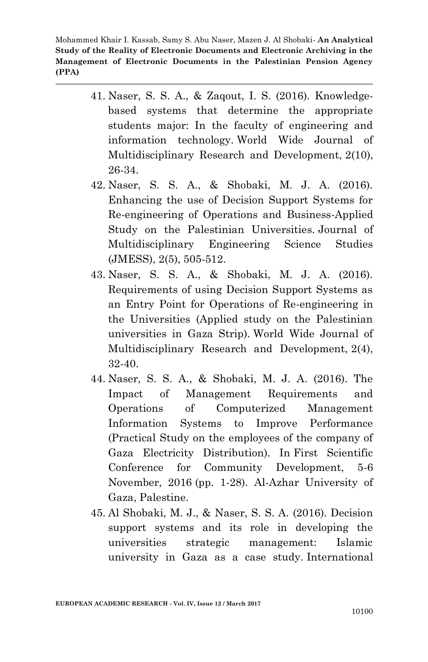- 41. Naser, S. S. A., & Zaqout, I. S. (2016). Knowledgebased systems that determine the appropriate students major: In the faculty of engineering and information technology. World Wide Journal of Multidisciplinary Research and Development, 2(10), 26-34.
- 42. Naser, S. S. A., & Shobaki, M. J. A. (2016). Enhancing the use of Decision Support Systems for Re-engineering of Operations and Business-Applied Study on the Palestinian Universities. Journal of Multidisciplinary Engineering Science Studies (JMESS), 2(5), 505-512.
- 43. Naser, S. S. A., & Shobaki, M. J. A. (2016). Requirements of using Decision Support Systems as an Entry Point for Operations of Re-engineering in the Universities (Applied study on the Palestinian universities in Gaza Strip). World Wide Journal of Multidisciplinary Research and Development, 2(4), 32-40.
- 44. Naser, S. S. A., & Shobaki, M. J. A. (2016). The Impact of Management Requirements and Operations of Computerized Management Information Systems to Improve Performance (Practical Study on the employees of the company of Gaza Electricity Distribution). In First Scientific Conference for Community Development, 5-6 November, 2016 (pp. 1-28). Al-Azhar University of Gaza, Palestine.
- 45. Al Shobaki, M. J., & Naser, S. S. A. (2016). Decision support systems and its role in developing the universities strategic management: Islamic university in Gaza as a case study. International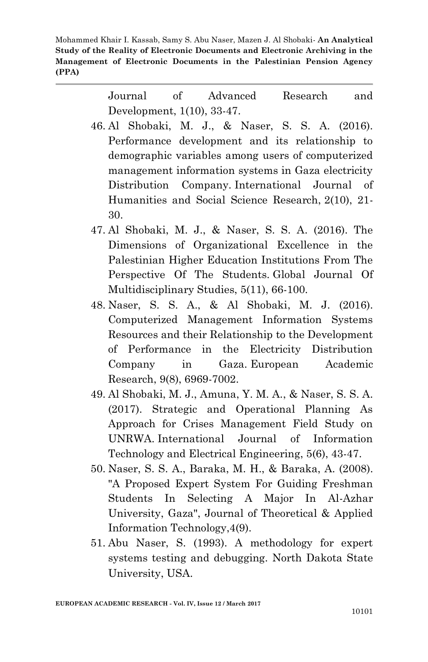> Journal of Advanced Research and Development, 1(10), 33-47.

- 46. Al Shobaki, M. J., & Naser, S. S. A. (2016). Performance development and its relationship to demographic variables among users of computerized management information systems in Gaza electricity Distribution Company. International Journal of Humanities and Social Science Research, 2(10), 21- 30.
- 47. Al Shobaki, M. J., & Naser, S. S. A. (2016). The Dimensions of Organizational Excellence in the Palestinian Higher Education Institutions From The Perspective Of The Students. Global Journal Of Multidisciplinary Studies, 5(11), 66-100.
- 48. Naser, S. S. A., & Al Shobaki, M. J. (2016). Computerized Management Information Systems Resources and their Relationship to the Development of Performance in the Electricity Distribution Company in Gaza. European Academic Research, 9(8), 6969-7002.
- 49. Al Shobaki, M. J., Amuna, Y. M. A., & Naser, S. S. A. (2017). Strategic and Operational Planning As Approach for Crises Management Field Study on UNRWA. International Journal of Information Technology and Electrical Engineering, 5(6), 43-47.
- 50. Naser, S. S. A., Baraka, M. H., & Baraka, A. (2008). "A Proposed Expert System For Guiding Freshman Students In Selecting A Major In Al-Azhar University, Gaza", Journal of Theoretical & Applied Information Technology,4(9).
- 51. Abu Naser, S. (1993). A methodology for expert systems testing and debugging. North Dakota State University, USA.